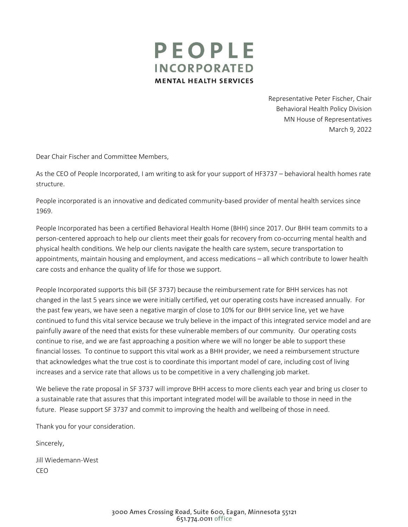

Representative Peter Fischer, Chair Behavioral Health Policy Division MN House of Representatives March 9, 2022

Dear Chair Fischer and Committee Members,

As the CEO of People Incorporated, I am writing to ask for your support of HF3737 – behavioral health homes rate structure.

People incorporated is an innovative and dedicated community-based provider of mental health services since 1969.

People Incorporated has been a certified Behavioral Health Home (BHH) since 2017. Our BHH team commits to a person-centered approach to help our clients meet their goals for recovery from co-occurring mental health and physical health conditions. We help our clients navigate the health care system, secure transportation to appointments, maintain housing and employment, and access medications – all which contribute to lower health care costs and enhance the quality of life for those we support.

People Incorporated supports this bill (SF 3737) because the reimbursement rate for BHH services has not changed in the last 5 years since we were initially certified, yet our operating costs have increased annually. For the past few years, we have seen a negative margin of close to 10% for our BHH service line, yet we have continued to fund this vital service because we truly believe in the impact of this integrated service model and are painfully aware of the need that exists for these vulnerable members of our community. Our operating costs continue to rise, and we are fast approaching a position where we will no longer be able to support these financial losses. To continue to support this vital work as a BHH provider, we need a reimbursement structure that acknowledges what the true cost is to coordinate this important model of care, including cost of living increases and a service rate that allows us to be competitive in a very challenging job market.

We believe the rate proposal in SF 3737 will improve BHH access to more clients each year and bring us closer to a sustainable rate that assures that this important integrated model will be available to those in need in the future. Please support SF 3737 and commit to improving the health and wellbeing of those in need.

Thank you for your consideration.

Sincerely,

Jill Wiedemann-West CEO